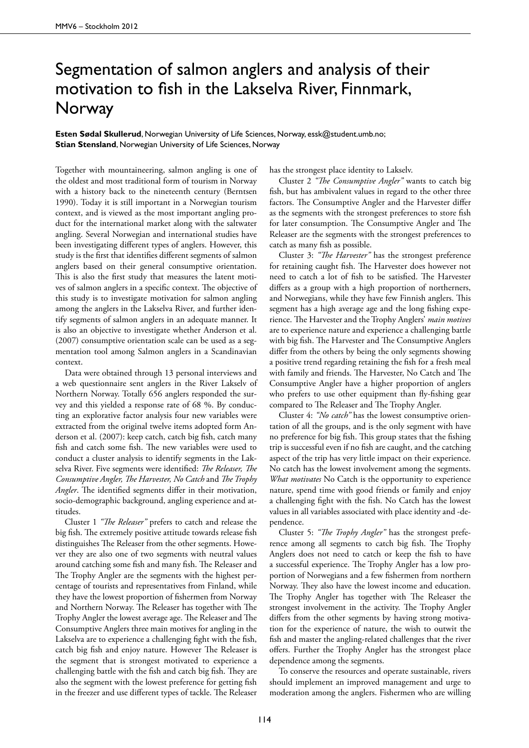## Segmentation of salmon anglers and analysis of their motivation to fish in the Lakselva River, Finnmark, **Norway**

**Esten Sødal Skullerud**, Norwegian University of Life Sciences, Norway, essk@student.umb.no; **Stian Stensland**, Norwegian University of Life Sciences, Norway

Together with mountaineering, salmon angling is one of the oldest and most traditional form of tourism in Norway with a history back to the nineteenth century (Berntsen 1990). Today it is still important in a Norwegian tourism context, and is viewed as the most important angling product for the international market along with the saltwater angling. Several Norwegian and international studies have been investigating different types of anglers. However, this study is the first that identifies different segments of salmon anglers based on their general consumptive orientation. This is also the first study that measures the latent motives of salmon anglers in a specific context. The objective of this study is to investigate motivation for salmon angling among the anglers in the Lakselva River, and further identify segments of salmon anglers in an adequate manner. It is also an objective to investigate whether Anderson et al. (2007) consumptive orientation scale can be used as a segmentation tool among Salmon anglers in a Scandinavian context.

Data were obtained through 13 personal interviews and a web questionnaire sent anglers in the River Lakselv of Northern Norway. Totally 656 anglers responded the survey and this yielded a response rate of 68 %. By conducting an explorative factor analysis four new variables were extracted from the original twelve items adopted form Anderson et al. (2007): keep catch, catch big fish, catch many fish and catch some fish. The new variables were used to conduct a cluster analysis to identify segments in the Lakselva River. Five segments were identified: *The Releaser, The Consumptive Angler, The Harvester, No Catch* and *The Trophy Angler*. The identified segments differ in their motivation, socio-demographic background, angling experience and attitudes.

Cluster 1 *"The Releaser"* prefers to catch and release the big fish. The extremely positive attitude towards release fish distinguishes The Releaser from the other segments. However they are also one of two segments with neutral values around catching some fish and many fish. The Releaser and The Trophy Angler are the segments with the highest percentage of tourists and representatives from Finland, while they have the lowest proportion of fishermen from Norway and Northern Norway. The Releaser has together with The Trophy Angler the lowest average age. The Releaser and The Consumptive Anglers three main motives for angling in the Lakselva are to experience a challenging fight with the fish, catch big fish and enjoy nature. However The Releaser is the segment that is strongest motivated to experience a challenging battle with the fish and catch big fish. They are also the segment with the lowest preference for getting fish in the freezer and use different types of tackle. The Releaser has the strongest place identity to Lakselv.

Cluster 2 *"The Consumptive Angler"* wants to catch big fish, but has ambivalent values in regard to the other three factors. The Consumptive Angler and the Harvester differ as the segments with the strongest preferences to store fish for later consumption. The Consumptive Angler and The Releaser are the segments with the strongest preferences to catch as many fish as possible.

Cluster 3: *"The Harvester"* has the strongest preference for retaining caught fish. The Harvester does however not need to catch a lot of fish to be satisfied. The Harvester differs as a group with a high proportion of northerners, and Norwegians, while they have few Finnish anglers. This segment has a high average age and the long fishing experience. The Harvester and the Trophy Anglers' *main motives* are to experience nature and experience a challenging battle with big fish. The Harvester and The Consumptive Anglers differ from the others by being the only segments showing a positive trend regarding retaining the fish for a fresh meal with family and friends. The Harvester, No Catch and The Consumptive Angler have a higher proportion of anglers who prefers to use other equipment than fly-fishing gear compared to The Releaser and The Trophy Angler.

Cluster 4: *"No catch"* has the lowest consumptive orientation of all the groups, and is the only segment with have no preference for big fish. This group states that the fishing trip is successful even if no fish are caught, and the catching aspect of the trip has very little impact on their experience. No catch has the lowest involvement among the segments. *What motivates* No Catch is the opportunity to experience nature, spend time with good friends or family and enjoy a challenging fight with the fish. No Catch has the lowest values in all variables associated with place identity and -dependence.

Cluster 5: *"The Trophy Angler"* has the strongest preference among all segments to catch big fish. The Trophy Anglers does not need to catch or keep the fish to have a successful experience. The Trophy Angler has a low proportion of Norwegians and a few fishermen from northern Norway. They also have the lowest income and education. The Trophy Angler has together with The Releaser the strongest involvement in the activity. The Trophy Angler differs from the other segments by having strong motivation for the experience of nature, the wish to outwit the fish and master the angling-related challenges that the river offers. Further the Trophy Angler has the strongest place dependence among the segments.

To conserve the resources and operate sustainable, rivers should implement an improved management and urge to moderation among the anglers. Fishermen who are willing